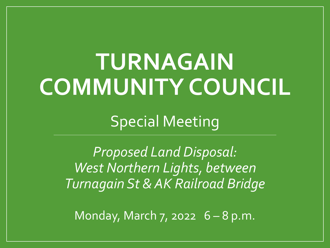## **TURNAGAIN COMMUNITY COUNCIL**

Special Meeting

*Proposed Land Disposal: West Northern Lights, between Turnagain St & AK Railroad Bridge*

Monday, March  $7,$  2022  $6-8$  p.m.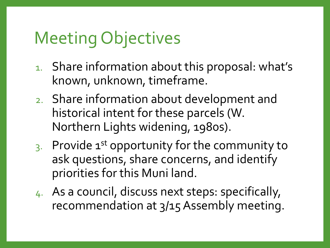### Meeting Objectives

- 1. Share information about this proposal: what's known, unknown, timeframe.
- 2. Share information about development and historical intent for these parcels (W. Northern Lights widening, 1980s).
- 3. Provide 1<sup>st</sup> opportunity for the community to ask questions, share concerns, and identify priorities for this Muni land.
- 4. As a council, discuss next steps: specifically, recommendation at 3/15 Assembly meeting.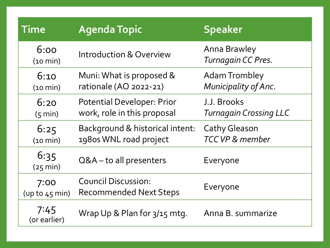| <b>Time</b>              | <b>Agenda Topic</b>                                              | <b>Speaker</b>                               |
|--------------------------|------------------------------------------------------------------|----------------------------------------------|
| 6:00<br>(10 min)         | <b>Introduction &amp; Overview</b>                               | <b>Anna Brawley</b><br>Turnagain CC Pres.    |
| 6:10<br>(10 min)         | Muni: What is proposed &<br>rationale (AO 2022-21)               | <b>Adam Trombley</b><br>Municipality of Anc. |
| 6:20<br>(5 min)          | <b>Potential Developer: Prior</b><br>work, role in this proposal | J.J. Brooks<br><b>Turnagain Crossing LLC</b> |
| 6:25<br>(10 min)         | Background & historical intent:<br>1980s WNL road project        | <b>Cathy Gleason</b><br>TCC VP & member      |
| 6:35<br>(25 min)         | Q&A-to all presenters                                            | Everyone                                     |
| 7:00<br>(up to $45$ min) | <b>Council Discussion:</b><br><b>Recommended Next Steps</b>      | Everyone                                     |
| 7:45<br>(or earlier)     | Wrap Up & Plan for 3/15 mtg.                                     | Anna B. summarize                            |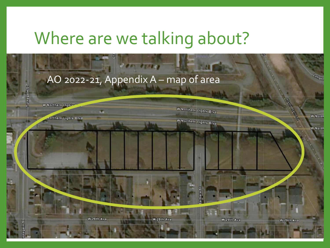### Where are we talking about?

W 29th Ave

#### AO 2022-21, Appendix A – map of area

u

W 29th Ave

W Northern Lighte

Turnagain St

worthern Lights Blvd

**W Northern Lights Blvd** 

W Northern Lights Blvd

W 29th Ave

W 29th Ave

Lahone

**W** North

**W** North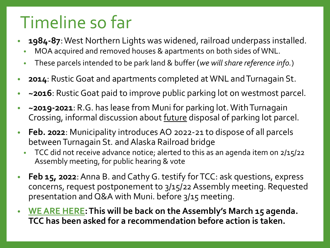### Timeline so far

- **1984-87**: West Northern Lights was widened, railroad underpass installed.
	- MOA acquired and removed houses & apartments on both sides of WNL.
	- These parcels intended to be park land & buffer (*we will share reference info.*)
- **2014**: Rustic Goat and apartments completed at WNL and Turnagain St.
- **~2016**: Rustic Goat paid to improve public parking lot on westmost parcel.
- **~2019-2021**: R.G. has lease from Muni for parking lot. With Turnagain Crossing, informal discussion about future disposal of parking lot parcel.
- **Feb. 2022**: Municipality introduces AO 2022-21 to dispose of all parcels between Turnagain St. and Alaska Railroad bridge
	- TCC did not receive advance notice; alerted to this as an agenda item on 2/15/22 Assembly meeting, for public hearing & vote
- **Feb 15, 2022**: Anna B. and Cathy G. testify for TCC: ask questions, express concerns, request postponement to 3/15/22 Assembly meeting. Requested presentation and Q&A with Muni. before 3/15 meeting.
- **WE ARE HERE: This will be back on the Assembly's March 15 agenda. TCC has been asked for a recommendation before action is taken.**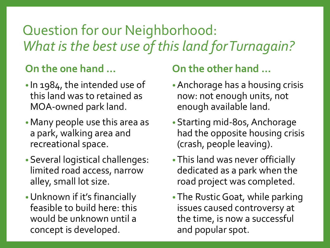### Question for our Neighborhood: *What is the best use of this land for Turnagain?*

#### **On the one hand …**

- In 1984, the intended use of this land was to retained as MOA-owned park land.
- •Many people use this area as a park, walking area and recreational space.
- •Several logistical challenges: limited road access, narrow alley, small lot size.
- •Unknown if it's financially feasible to build here: this would be unknown until a concept is developed.

#### **On the other hand …**

- •Anchorage has a housing crisis now: not enough units, not enough available land.
- •Starting mid-80s, Anchorage had the opposite housing crisis (crash, people leaving).
- •This land was never officially dedicated as a park when the road project was completed.
- •The Rustic Goat, while parking issues caused controversy at the time, is now a successful and popular spot.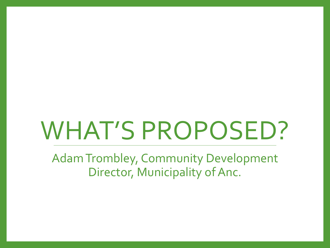# WHAT'S PROPOSED?

Adam Trombley, Community Development Director, Municipality of Anc.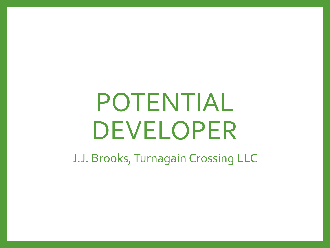## POTENTIAL DEVELOPER

J.J. Brooks, Turnagain Crossing LLC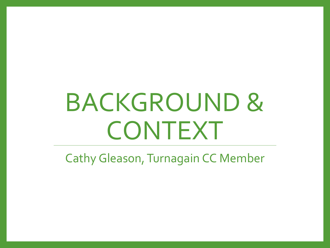## BACKGROUND & CONTEXT

Cathy Gleason, Turnagain CC Member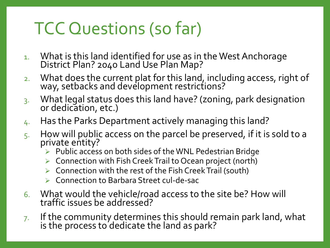### TCC Questions (so far)

- 1. What is this land identified for use as in the West Anchorage District Plan? 2040 Land Use Plan Map?
- 2. What does the current plat for this land, including access, right of way, setbacks and development restrictions?
- 3. What legal status does this land have? (zoning, park designation or dedication, etc.)
- 4. Has the Parks Department actively managing this land?
- $5.$  How will public access on the parcel be preserved, if it is sold to a private entity?
	- ➢ Public access on both sides of the WNL Pedestrian Bridge
	- ➢ Connection with Fish Creek Trail to Ocean project (north)
	- ➢ Connection with the rest of the Fish Creek Trail (south)
	- ➢ Connection to Barbara Street cul-de-sac
- 6. What would the vehicle/road access to the site be? How will traffic issues be addressed?
- $7.$  If the community determines this should remain park land, what is the process to dedicate the land as park?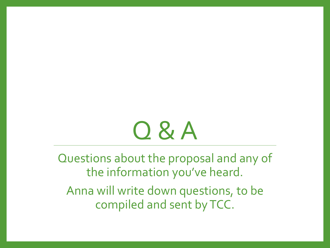## Q & A

Questions about the proposal and any of the information you've heard.

Anna will write down questions, to be compiled and sent by TCC.